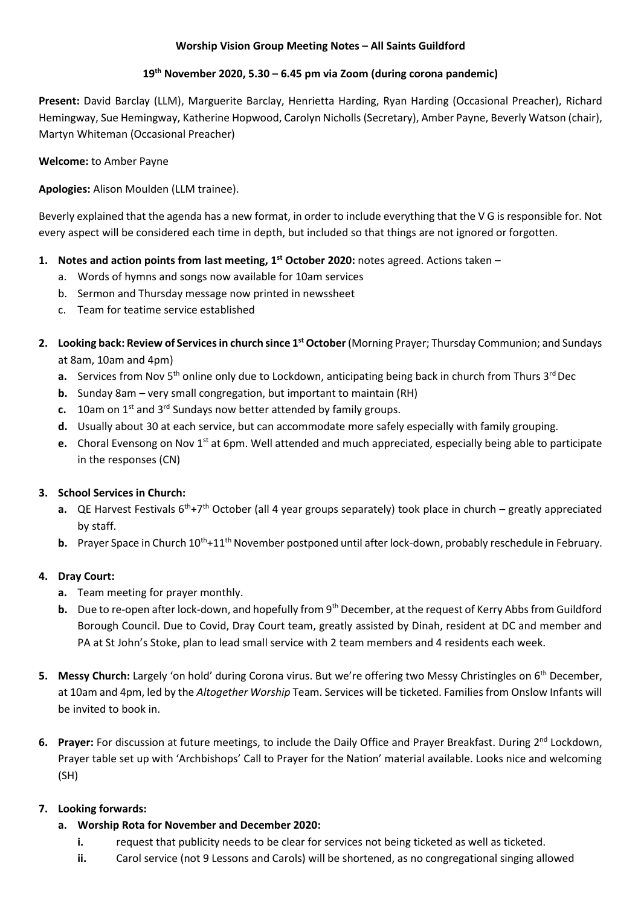### **Worship Vision Group Meeting Notes – All Saints Guildford**

### **19th November 2020, 5.30 – 6.45 pm via Zoom (during corona pandemic)**

**Present:** David Barclay (LLM), Marguerite Barclay, Henrietta Harding, Ryan Harding (Occasional Preacher), Richard Hemingway, Sue Hemingway, Katherine Hopwood, Carolyn Nicholls (Secretary), Amber Payne, Beverly Watson (chair), Martyn Whiteman (Occasional Preacher)

**Welcome:** to Amber Payne

**Apologies:** Alison Moulden (LLM trainee).

Beverly explained that the agenda has a new format, in order to include everything that the V G is responsible for. Not every aspect will be considered each time in depth, but included so that things are not ignored or forgotten.

- **1. Notes and action points from last meeting, 1 st October 2020:** notes agreed. Actions taken
	- a. Words of hymns and songs now available for 10am services
	- b. Sermon and Thursday message now printed in newssheet
	- c. Team for teatime service established
- 2. Looking back: Review of Services in church since 1<sup>st</sup> October (Morning Prayer; Thursday Communion; and Sundays at 8am, 10am and 4pm)
	- **a.** Services from Nov 5<sup>th</sup> online only due to Lockdown, anticipating being back in church from Thurs 3<sup>rd</sup> Dec
	- **b.** Sunday 8am very small congregation, but important to maintain (RH)
	- **c.** 10am on 1<sup>st</sup> and 3<sup>rd</sup> Sundays now better attended by family groups.
	- **d.** Usually about 30 at each service, but can accommodate more safely especially with family grouping.
	- **e.** Choral Evensong on Nov 1st at 6pm. Well attended and much appreciated, especially being able to participate in the responses (CN)

#### **3. School Services in Church:**

- **a.** QE Harvest Festivals 6<sup>th</sup>+7<sup>th</sup> October (all 4 year groups separately) took place in church greatly appreciated by staff.
- **b.** Prayer Space in Church 10<sup>th</sup>+11<sup>th</sup> November postponed until after lock-down, probably reschedule in February.

# **4. Dray Court:**

- **a.** Team meeting for prayer monthly.
- **b.** Due to re-open after lock-down, and hopefully from 9<sup>th</sup> December, at the request of Kerry Abbs from Guildford Borough Council. Due to Covid, Dray Court team, greatly assisted by Dinah, resident at DC and member and PA at St John's Stoke, plan to lead small service with 2 team members and 4 residents each week.
- **5.** Messy Church: Largely 'on hold' during Corona virus. But we're offering two Messy Christingles on 6<sup>th</sup> December, at 10am and 4pm, led by the *Altogether Worship* Team. Services will be ticketed. Families from Onslow Infants will be invited to book in.
- **6. Prayer:** For discussion at future meetings, to include the Daily Office and Prayer Breakfast. During 2nd Lockdown, Prayer table set up with 'Archbishops' Call to Prayer for the Nation' material available. Looks nice and welcoming (SH)

# **7. Looking forwards:**

- **a. Worship Rota for November and December 2020:**
	- **i.** request that publicity needs to be clear for services not being ticketed as well as ticketed.
	- **ii.** Carol service (not 9 Lessons and Carols) will be shortened, as no congregational singing allowed